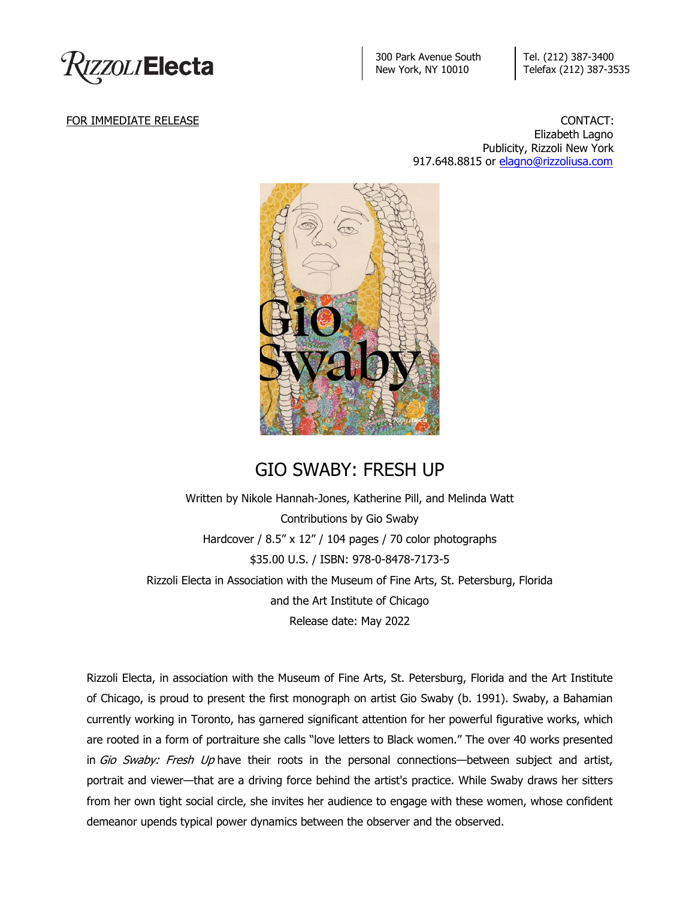

300 Park Avenue South New York, NY 10010

Tel. (212) 387-3400 Telefax (212) 387-3535

FOR IMMEDIATE RELEASE CONTACT: Elizabeth Lagno Publicity, Rizzoli New York 917.648.8815 or [elagno@rizzoliusa.com](mailto:elagno@rizzoliusa.com)



## GIO SWABY: FRESH UP

Written by Nikole Hannah-Jones, Katherine Pill, and Melinda Watt Contributions by Gio Swaby Hardcover / 8.5" x 12" / 104 pages / 70 color photographs \$35.00 U.S. / ISBN: 978-0-8478-7173-5 Rizzoli Electa in Association with the Museum of Fine Arts, St. Petersburg, Florida and the Art Institute of Chicago Release date: May 2022

Rizzoli Electa, in association with the Museum of Fine Arts, St. Petersburg, Florida and the Art Institute of Chicago, is proud to present the first monograph on artist Gio Swaby (b. 1991). Swaby, a Bahamian currently working in Toronto, has garnered significant attention for her powerful figurative works, which are rooted in a form of portraiture she calls "love letters to Black women." The over 40 works presented in Gio Swaby: Fresh Up have their roots in the personal connections—between subject and artist, portrait and viewer—that are a driving force behind the artist's practice. While Swaby draws her sitters from her own tight social circle, she invites her audience to engage with these women, whose confident demeanor upends typical power dynamics between the observer and the observed.